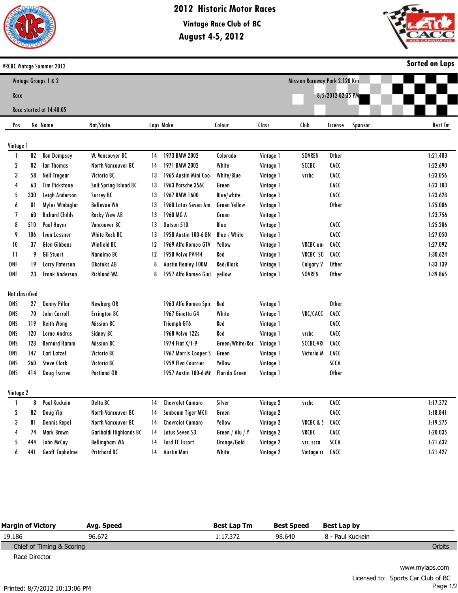

## **2012 Historic Motor Races**

**August 4-5, 2012 Vintage Race Club of BC**



|                                                       |     | <b>VRCBC Vintage Summer 2012</b> |                        |    |                           |                     |           |                  |                   |         | <b>Sorted on Laps</b> |
|-------------------------------------------------------|-----|----------------------------------|------------------------|----|---------------------------|---------------------|-----------|------------------|-------------------|---------|-----------------------|
| Mission Raceway Park 2.120 Km<br>Vintage Groups 1 & 2 |     |                                  |                        |    |                           |                     |           |                  |                   |         |                       |
| Race                                                  |     |                                  |                        |    |                           |                     |           |                  | 8/5/2012 02:35 PM |         |                       |
|                                                       |     | Race started at 14:40:05         |                        |    |                           |                     |           |                  |                   |         |                       |
|                                                       |     |                                  |                        |    |                           |                     |           |                  |                   |         |                       |
| Pos                                                   |     | No. Name                         | Nat/State              |    | Laps Make                 | Colour              | Class     | Club             | License           | Sponsor | <b>Best Tm</b>        |
| Vintage 1                                             |     |                                  |                        |    |                           |                     |           |                  |                   |         |                       |
|                                                       | 82  | <b>Ron Dempsey</b>               | W. Vancouver BC        | 14 | 1973 BMW 2002             | Colorado            | Vintage 1 | SOVREN           | <b>Other</b>      |         | 1:21.403              |
| 2                                                     | 02  | <b>Ian Thomas</b>                | North Vancouver BC     | 14 | 1971 BMW 2002             | White               | Vintage 1 | SCCBC            | <b>CACC</b>       |         | 1:22.690              |
| 3                                                     | 58  | Neil Tregear                     | <b>Victoria BC</b>     | 13 | 1965 Austin Mini Coo      | White/Blue          | Vintage 1 | vrcbc            | <b>CACC</b>       |         | 1:23.056              |
| 4                                                     | 63  | <b>Tim Pickstone</b>             | Salt Spring Island BC  | 13 | 1963 Porsche 356C         | Green               | Vintage 1 |                  | <b>CACC</b>       |         | 1:23.103              |
| 5                                                     | 330 | Leigh Anderson                   | Surrey BC              | 13 | 1967 BMW 1600             | <b>Blue/white</b>   | Vintage 1 |                  | <b>CACC</b>       |         | 1:23.628              |
| 6                                                     | 81  | Myles Winbigler                  | <b>Bellevue WA</b>     | 13 | 1960 Lotus Seven Am       | <b>Green Yellow</b> | Vintage 1 |                  | <b>Other</b>      |         | 1:25.006              |
| 7                                                     | 60  | <b>Richard Childs</b>            | <b>Rocky View AB</b>   | 13 | 1960 MG A                 | Green               | Vintage 1 |                  |                   |         | 1:23.756              |
| 8                                                     | 510 | Paul Haym                        | <b>Vancouver BC</b>    | 13 | Datsun 510                | Blue                | Vintage 1 |                  | <b>CACC</b>       |         | 1:25.206              |
| 9                                                     | 106 | <b>Ivan Lessner</b>              | White Rock BC          | 13 | 1958 Austin 100-6 BN      | <b>Blue / White</b> | Vintage 1 |                  | <b>CACC</b>       |         | 1:27.050              |
| 10                                                    | 37  | <b>Glen Gibbons</b>              | Winfield BC            | 12 | 1969 Alfa Romeo GTV       | Yellow              | Vintage 1 | <b>VRCBC</b> and | <b>CACC</b>       |         | 1:27.092              |
| $\mathbf{1}$                                          | 9   | <b>Gil Stuart</b>                | Nanaimo BC             | 12 | 1958 Volvo PV444          | Red                 | Vintage 1 | VRCBC SO         | <b>CACC</b>       |         | 1:30.624              |
| DNF                                                   | 19  | <b>Larry Paterson</b>            | <b>Okotoks AB</b>      | 8  | <b>Austin Healey 100M</b> | Red/Black           | Vintage 1 | <b>Calgary V</b> | <b>Other</b>      |         | 1:33.139              |
| DNF                                                   | 23  | <b>Frank Anderson</b>            | <b>Richland WA</b>     | 8  | 1957 Alfa Romeo Giul      | yellow              | Vintage 1 | SOVREN           | <b>Other</b>      |         | 1:39.865              |
| Not classified                                        |     |                                  |                        |    |                           |                     |           |                  |                   |         |                       |
| <b>DNS</b>                                            | 27  | <b>Denny Pillar</b>              | Newberg OR             |    | 1963 Alfa Romeo Spic      | Red                 | Vintage 1 |                  | <b>Other</b>      |         |                       |
| <b>DNS</b>                                            | 70  | John Carroll                     | <b>Errington BC</b>    |    | 1967 Ginetta G4           | White               | Vintage 1 | VRC/CACC         | <b>CACC</b>       |         |                       |
| DNS                                                   | 119 | <b>Keith Wong</b>                | <b>Mission BC</b>      |    | <b>Triumph GT6</b>        | Red                 | Vintage 1 |                  | <b>CACC</b>       |         |                       |
| DNS                                                   | 120 | Lorne Andras                     | Sidney BC              |    | 1968 Volvo 122s           | Red                 | Vintage 1 | vrcbc            | <b>CACC</b>       |         |                       |
| DNS                                                   | 128 | <b>Bernard Hamm</b>              | <b>Mission BC</b>      |    | 1974 Fiat X/1-9           | Green/White/Rec     | Vintage 1 | SCCBC;VRC        | CACC              |         |                       |
| DNS                                                   | 147 | Carl Latzel                      | <b>Victoria BC</b>     |    | 1967 Morris Cooper S      | Green               | Vintage 1 | Victoria M       | <b>CACC</b>       |         |                       |
| DNS                                                   | 260 | <b>Steve Clark</b>               | <b>Victoria BC</b>     |    | 1959 Elva Courrier        | Yellow              | Vintage 1 |                  | <b>SCCA</b>       |         |                       |
| DNS                                                   | 414 | Doug Escriva                     | <b>Portland OR</b>     |    | 1957 Austin 100-6 MI      | Florida Green       | Vintage 1 |                  | <b>Other</b>      |         |                       |
| <b>Vintage 2</b>                                      |     |                                  |                        |    |                           |                     |           |                  |                   |         |                       |
|                                                       | 8   | Paul Kuckein                     | Delta BC               | 14 | <b>Chevrolet Camaro</b>   | Silver              | Vintage 2 | vrcbc            | <b>CACC</b>       |         | 1:17.372              |
| 2                                                     | 82  | Doug Yip                         | North Vancouver BC     | 14 | Sunbeam Tiger MKII        | Green               | Vintage 2 |                  | <b>CACC</b>       |         | 1:18.841              |
| 3                                                     | 81  | <b>Dennis Repel</b>              | North Vancouver BC     | 14 | <b>Chevrolet Camaro</b>   | Yellow              | Vintage 2 | VRCBC&S          | <b>CACC</b>       |         | 1:19.575              |
| 4                                                     | 74  | Mark Brown                       | Garibaldi Highlands BC | 14 | Lotus Seven S3            | Green / Alu / Y     | Vintage 2 | VRCBC            | <b>CACC</b>       |         | 1:20.035              |
| 5                                                     | 444 | John McCoy                       | <b>Bellingham WA</b>   | 14 | <b>Ford TC Escort</b>     | Orange/Gold         | Vintage 2 | vrc, scca        | SCCA              |         | 1:21.632              |
| 6                                                     | 441 | Geoff Tupholme                   | <b>Pritchard BC</b>    | 14 | <b>Austin Mini</b>        | White               | Vintage 2 | Vintage rc CACC  |                   |         | 1:21.427              |
|                                                       |     |                                  |                        |    |                           |                     |           |                  |                   |         |                       |

| <b>Margin of Victory</b>  | Ava. Speed | <b>Best Lap Tm</b> | <b>Best Speed</b> | Best Lap by      |        |
|---------------------------|------------|--------------------|-------------------|------------------|--------|
| 19.186                    | 96.672     | 1:17.372           | 98.640            | 8 - Paul Kuckein |        |
| Chief of Timing & Scoring |            |                    |                   |                  | Orbits |
| Race Director             |            |                    |                   |                  |        |